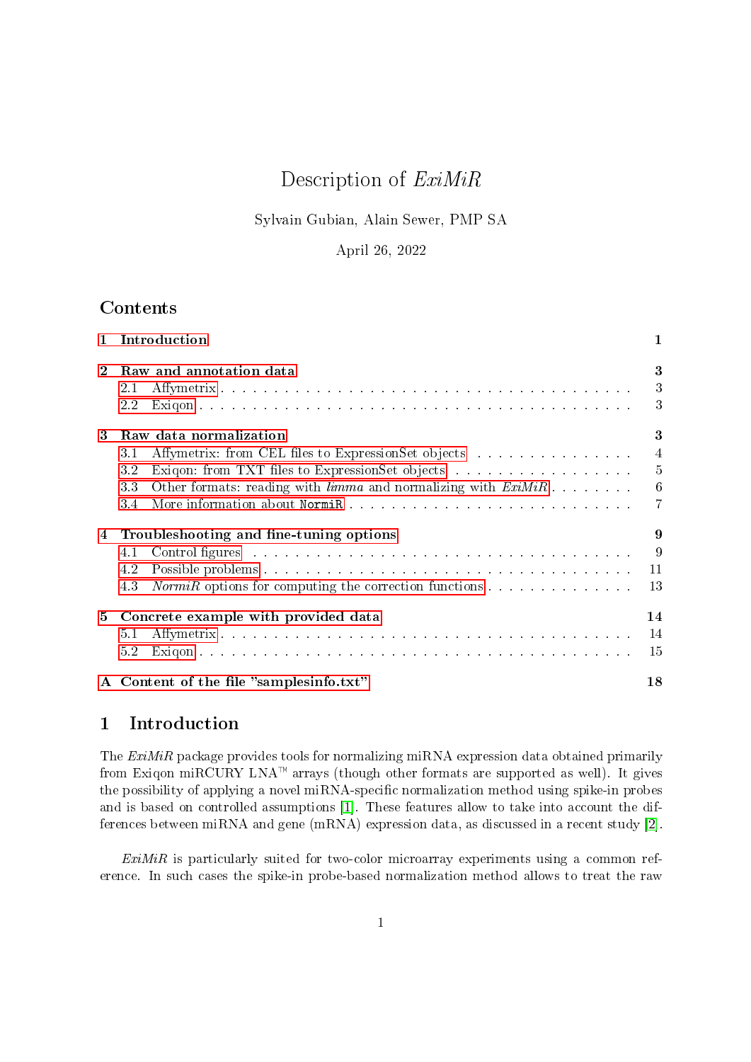# Description of ExiMiR

## Sylvain Gubian, Alain Sewer, PMP SA

# April 26, 2022

# <span id="page-0-1"></span>Contents

| $\mathbf{1}$ | Introduction                                                                                                                                                                                                                                                                                                                                                             |                                    |  |  |  |  |  |
|--------------|--------------------------------------------------------------------------------------------------------------------------------------------------------------------------------------------------------------------------------------------------------------------------------------------------------------------------------------------------------------------------|------------------------------------|--|--|--|--|--|
| $\mathbf{2}$ | Raw and annotation data<br>2.1<br>$2.2\,$                                                                                                                                                                                                                                                                                                                                | 3<br>3<br>3                        |  |  |  |  |  |
| 3            | Raw data normalization<br>Affymetrix: from CEL files to ExpressionSet objects<br>3.1<br>3.2<br>Exiqon: from TXT files to ExpressionSet objects<br>Other formats: reading with $limma$ and normalizing with $ExiMiR$<br>33<br>3.4                                                                                                                                         | 3<br>$\overline{4}$<br>5<br>6<br>7 |  |  |  |  |  |
| 4            | Troubleshooting and fine-tuning options<br>Control figures and a construction of the construction of the construction of the construction of the construction of the construction of the construction of the construction of the construction of the construction of the<br>4.1<br>4.2<br>4.3<br><i>NormiR</i> options for computing the correction functions $\ldots$ , | 9<br>9<br>11<br>13                 |  |  |  |  |  |
| 5            | Concrete example with provided data<br>51<br>5.2                                                                                                                                                                                                                                                                                                                         | 14<br>14<br>15                     |  |  |  |  |  |
|              | A Content of the file "samplesinfo.txt"<br>18                                                                                                                                                                                                                                                                                                                            |                                    |  |  |  |  |  |

# <span id="page-0-0"></span>1 Introduction

The ExiMiR package provides tools for normalizing miRNA expression data obtained primarily from Exiqon miRCURY LNA<sup> $M$ </sup> arrays (though other formats are supported as well). It gives the possibility of applying a novel miRNA-specific normalization method using spike-in probes and is based on controlled assumptions [\[1\]](#page-16-0). These features allow to take into account the differences between miRNA and gene (mRNA) expression data, as discussed in a recent study [\[2\]](#page-16-1).

 $ExiMiR$  is particularly suited for two-color microarray experiments using a common reference. In such cases the spike-in probe-based normalization method allows to treat the raw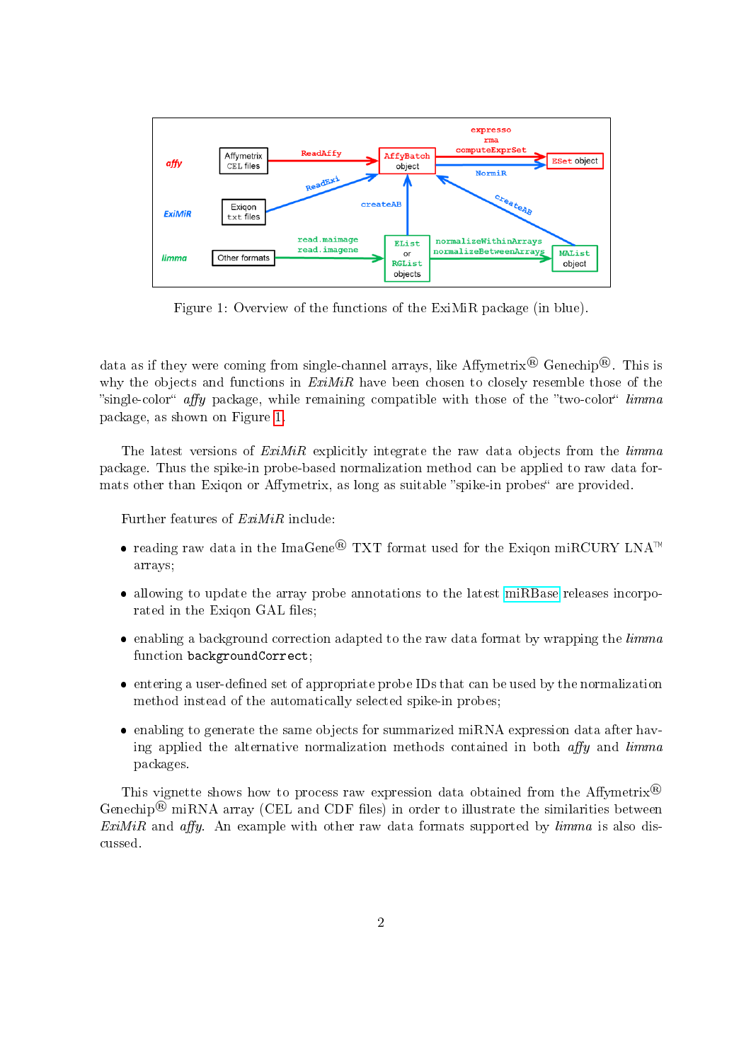

<span id="page-1-0"></span>Figure 1: Overview of the functions of the ExiMiR package (in blue).

data as if they were coming from single-channel arrays, like Affymetrix<sup>®</sup> Genechip<sup>®</sup>. This is why the objects and functions in  $ExiMiR$  have been chosen to closely resemble those of the "single-color" affy package, while remaining compatible with those of the "two-color" limma package, as shown on Figure [1.](#page-1-0)

The latest versions of ExiMiR explicitly integrate the raw data objects from the limma package. Thus the spike-in probe-based normalization method can be applied to raw data formats other than Exiqon or Affymetrix, as long as suitable "spike-in probes" are provided.

Further features of ExiMiR include:

- reading raw data in the ImaGene<sup>®</sup> TXT format used for the Exiqon miRCURY LNA<sup>™</sup> arrays;
- allowing to update the array probe annotations to the latest [miRBase](http://www.mirbase.org) releases incorporated in the Exiqon GAL files;
- $\bullet$  enabling a background correction adapted to the raw data format by wrapping the *limma* function backgroundCorrect;
- entering a user-defined set of appropriate probe IDs that can be used by the normalization method instead of the automatically selected spike-in probes;
- enabling to generate the same objects for summarized miRNA expression data after having applied the alternative normalization methods contained in both  $affy$  and  $limma$ packages.

This vignette shows how to process raw expression data obtained from the Affymetrix<sup>®</sup> Genechip<sup>®</sup> miRNA array (CEL and CDF files) in order to illustrate the similarities between ExiMiR and affy. An example with other raw data formats supported by  $limma$  is also discussed.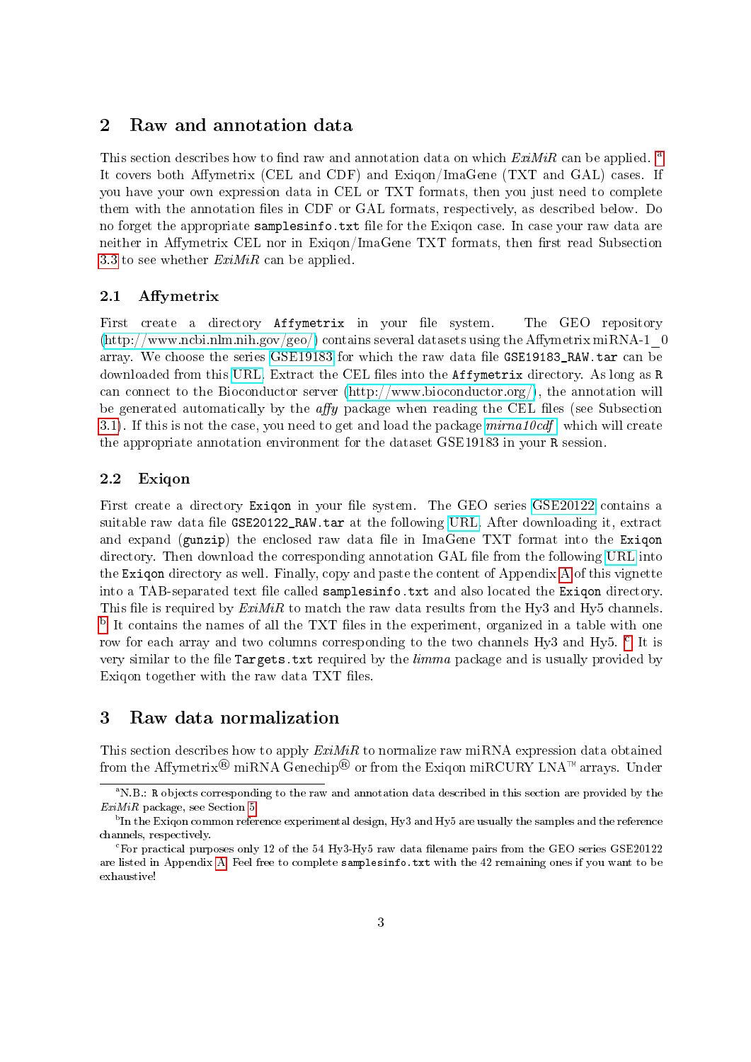## <span id="page-2-0"></span>2 Raw and annotation data

This section describes how to find r[a](#page-2-4)w and annotation data on which  $ExiMiR$  can be applied. <sup>a</sup> It covers both Affymetrix (CEL and CDF) and Exigon/ImaGene (TXT and GAL) cases. If you have your own expression data in CEL or TXT formats, then you just need to complete them with the annotation files in CDF or GAL formats, respectively, as described below. Do no forget the appropriate samplesinfo.txt file for the Exigon case. In case your raw data are neither in Affymetrix CEL nor in Exigon/ImaGene TXT formats, then first read Subsection [3.3](#page-5-0) to see whether  $ExiMiR$  can be applied.

#### <span id="page-2-1"></span>2.1 Affymetrix

First create a directory Affymetrix in your file system. The GEO repository  $(\text{http://www.ncbi.nlm.nih.gov/geo/})$  contains several datasets using the Affymetrix miRNA-1  $\alpha$ array. We choose the series [GSE19183](http://www.ncbi.nlm.nih.gov/geo/query/acc.cgi?acc=GSE19183) for which the raw data file GSE19183 RAW.tar can be downloaded from this [URL.](http://www.ncbi.nlm.nih.gov/geosuppl/?acc=GSE19183) Extract the CEL files into the **Affymetrix** directory. As long as R can connect to the Bioconductor server [\(http://www.bioconductor.org/\)](http://www.bioconductor.org/), the annotation will be generated automatically by the  $affy$  package when reading the CEL files (see Subsection [3.1\)](#page-3-0). If this is not the case, you need to get and load the package  $mirna10cd$ , which will create the appropriate annotation environment for the dataset GSE19183 in your R session.

#### <span id="page-2-2"></span>2.2 Exiqon

First create a directory Exigon in your file system. The GEO series [GSE20122](http://www.ncbi.nlm.nih.gov/geo/query/acc.cgi?acc=GSE20122) contains a suitable raw data file GSE20122\_RAW.tar at the following [URL.](http://www.ncbi.nlm.nih.gov/geosuppl/?acc=GSE20122) After downloading it, extract and expand (gunzip) the enclosed raw data file in ImaGene TXT format into the Exigon directory. Then download the corresponding annotation GAL file from the following [URL](http://shop.exiqon.com/annotations/download/gal_208200-A,208201-A,208202-A_lot31022-31022_hsa,mmu,rno-and-related-vira_from_mb160,miRPlus.gal) into the Exiqon directory as well. Finally, copy and paste the content of Appendix [A](#page-17-0) of this vignette into a TAB-separated text file called samplesinfo.txt and also located the Exigon directory. This file is required by  $ExiMiR$  to match the raw data results from the Hy3 and Hy5 channels.  $^{\rm b}$  $^{\rm b}$  $^{\rm b}$  It contains the names of all the TXT files in the experiment, organized in a table with one row for ea[c](#page-2-6)h array and two columns corresponding to the two channels Hy3 and Hy5.  $\mathrm{^c}\,$  It is very similar to the file Targets.txt required by the  $limma$  package and is usually provided by Exigon together with the raw data TXT files.

## <span id="page-2-3"></span>3 Raw data normalization

This section describes how to apply  $ExiMiR$  to normalize raw miRNA expression data obtained from the Affymetrix® miRNA Genechip® or from the Exigon miRCURY LNA™ arrays. Under

<span id="page-2-4"></span><sup>&</sup>lt;sup>a</sup>N.B.: R objects corresponding to the raw and annotation data described in this section are provided by the ExiMiR package, see Section [5](#page-13-0)

<span id="page-2-5"></span> $^{\rm b}$  In the Exiqon common reference experimental design, Hy3 and Hy5 are usually the samples and the reference channels, respectively.

<span id="page-2-6"></span> $c$ For practical purposes only 12 of the 54 Hy3-Hy5 raw data filename pairs from the GEO series GSE20122 are listed in Appendix [A.](#page-17-0) Feel free to complete samplesinfo.txt with the 42 remaining ones if you want to be exhaustive!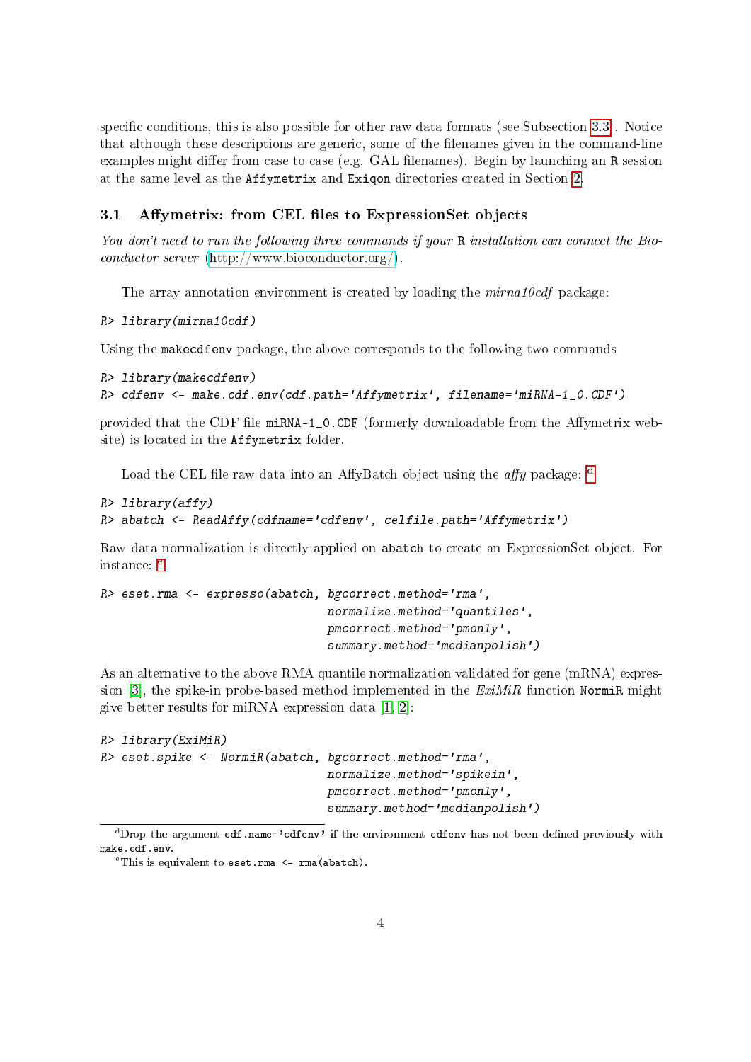specific conditions, this is also possible for other raw data formats (see Subsection  $3.3$ ). Notice that although these descriptions are generic, some of the lenames given in the command-line examples might differ from case to case (e.g. GAL filenames). Begin by launching an R session at the same level as the Affymetrix and Exiqon directories created in Section [2.](#page-2-0)

## <span id="page-3-0"></span>3.1 Affymetrix: from CEL files to ExpressionSet objects

You don't need to run the following three commands if your R installation can connect the Bioconductor server [\(http://www.bioconductor.org/\)](http://www.bioconductor.org/).

The array annotation environment is created by loading the *mirna10cdf* package:

R> library(mirna10cdf)

Using the makecdfenv package, the above corresponds to the following two commands

```
R> library(makecdfenv)
R> cdfenv <- make.cdf.env(cdf.path='Affymetrix', filename='miRNA-1_0.CDF')
```
provided that the CDF file miRNA-1\_0.CDF (formerly downloadable from the Affymetrix website) is located in the Affymetrix folder.

Loa[d](#page-3-1) the CEL file raw data into an AffyBatch object using the *affy* package:  $\frac{d}{dx}$ 

```
R> library(affy)
R> abatch <- ReadAffy(cdfname='cdfenv', celfile.path='Affymetrix')
```
Raw data normalization is directly applied on abatch to create an ExpressionSet object. For instanc[e](#page-3-2): <sup>e</sup>

```
R> eset.rma <- expresso(abatch, bgcorrect.method='rma',
                                normalize.method='quantiles',
                                pmcorrect.method='pmonly',
                                summary.method='medianpolish')
```
As an alternative to the above RMA quantile normalization validated for gene (mRNA) expres-sion [\[3\]](#page-16-2), the spike-in probe-based method implemented in the  $ExiMiR$  function NormiR might give better results for miRNA expression data  $[1, 2]$  $[1, 2]$ :

```
R> library(ExiMiR)
R> eset.spike <- NormiR(abatch, bgcorrect.method='rma',
                                normalize.method='spikein',
                                pmcorrect.method='pmonly',
                                summary.method='medianpolish')
```
<span id="page-3-1"></span><sup>&</sup>lt;sup>d</sup>Drop the argument cdf.name='cdfenv' if the environment cdfenv has not been defined previously with make.cdf.env.

<span id="page-3-2"></span> $\text{``This is equivalent to } \texttt{eset}.\texttt{rma} \leftarrow \texttt{rma}(\texttt{abatch}).$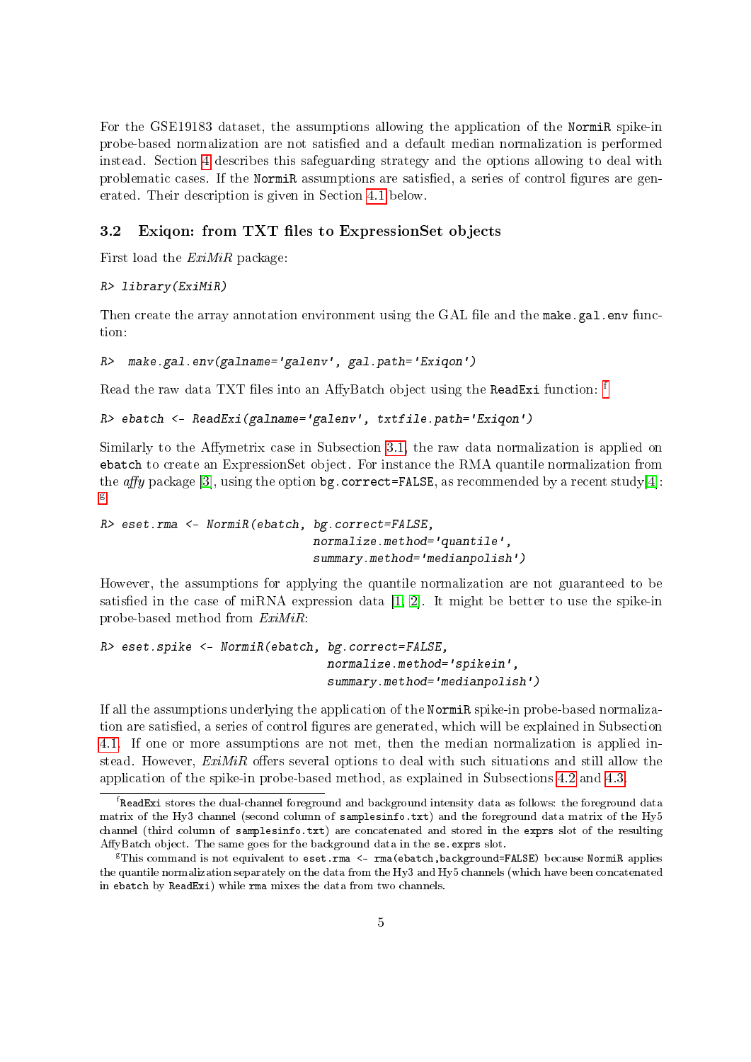For the GSE19183 dataset, the assumptions allowing the application of the NormiR spike-in probe-based normalization are not satised and a default median normalization is performed instead. Section [4](#page-8-0) describes this safeguarding strategy and the options allowing to deal with problematic cases. If the NormiR assumptions are satisfied, a series of control figures are generated. Their description is given in Section [4.1](#page-8-1) below.

#### <span id="page-4-0"></span>3.2 Exiqon: from TXT files to ExpressionSet objects

First load the ExiMiR package:

#### R> library(ExiMiR)

Then create the array annotation environment using the GAL file and the make.gal.env function:

```
R> make.gal.env(galname='galenv', gal.path='Exiqon')
```
Read the raw data TXT [f](#page-4-1)iles into an AffyBatch object using the ReadExi function: f

```
R> ebatch <- ReadExi(galname='galenv', txtfile.path='Exiqon')
```
Similarly to the Affymetrix case in Subsection [3.1,](#page-3-0) the raw data normalization is applied on ebatch to create an ExpressionSet object. For instance the RMA quantile normalization from the affy package [\[3\]](#page-16-2), using the option bg.correct=FALSE, as recommended by a recent study[\[4\]](#page-16-3): [g](#page-4-2)

```
R> eset.rma <- NormiR(ebatch, bg.correct=FALSE,
                              normalize.method='quantile',
                              summary.method='medianpolish')
```
However, the assumptions for applying the quantile normalization are not guaranteed to be satisfied in the case of miRNA expression data  $[1, 2]$  $[1, 2]$ . It might be better to use the spike-in probe-based method from ExiMiR:

```
R> eset.spike <- NormiR(ebatch, bg.correct=FALSE,
                                normalize.method='spikein',
                                summary.method='medianpolish')
```
If all the assumptions underlying the application of the NormiR spike-in probe-based normalization are satisfied, a series of control figures are generated, which will be explained in Subsection [4.1.](#page-8-1) If one or more assumptions are not met, then the median normalization is applied instead. However,  $ExiMiR$  offers several options to deal with such situations and still allow the application of the spike-in probe-based method, as explained in Subsections [4.2](#page-10-0) and [4.3.](#page-12-0)

<span id="page-4-1"></span> $^{\rm f}$ ReadExi stores the dual-channel foreground and background intensity data as follows: the foreground data matrix of the Hy3 channel (second column of samplesinfo.txt) and the foreground data matrix of the Hy5 channel (third column of samplesinfo.txt) are concatenated and stored in the exprs slot of the resulting AffyBatch object. The same goes for the background data in the se.exprs slot.

<span id="page-4-2"></span> $F$ This command is not equivalent to eset.rma <- rma(ebatch,background=FALSE) because NormiR applies the quantile normalization separately on the data from the Hy3 and Hy5 channels (which have been concatenated in ebatch by ReadExi) while rma mixes the data from two channels.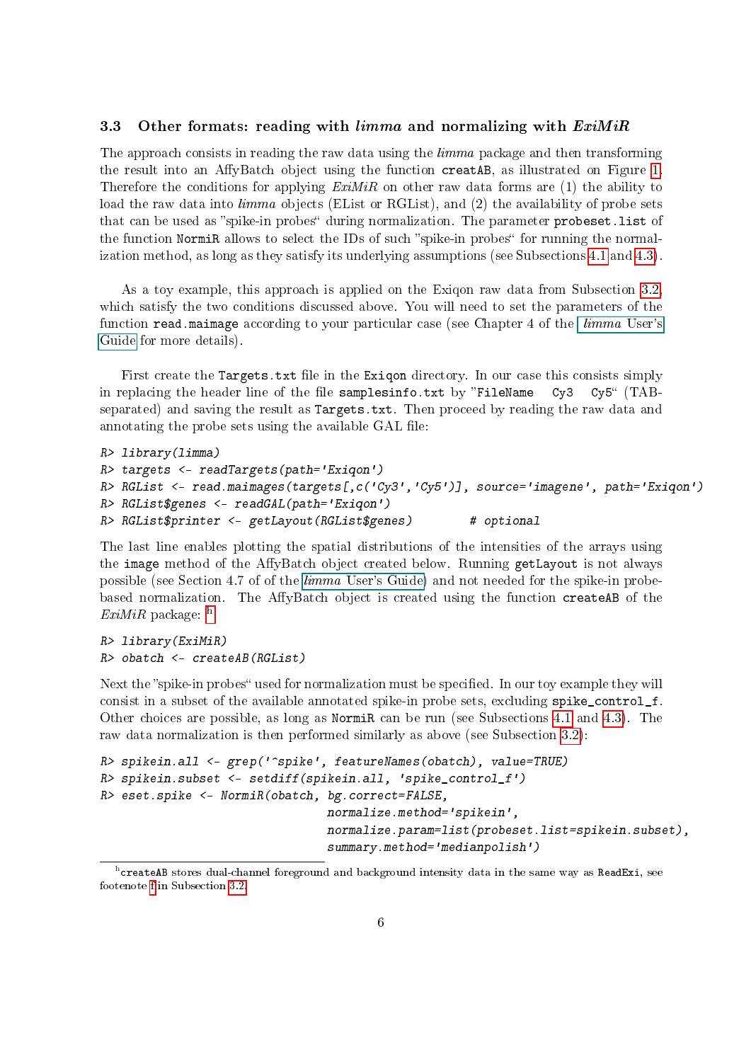#### <span id="page-5-0"></span>3.3 Other formats: reading with  $limma$  and normalizing with  $ExiMiR$

The approach consists in reading the raw data using the *limma* package and then transforming the result into an AffyBatch object using the function creatAB, as illustrated on Figure [1.](#page-1-0) Therefore the conditions for applying  $ExiMiR$  on other raw data forms are (1) the ability to load the raw data into *limma* objects (EList or RGList), and (2) the availability of probe sets that can be used as "spike-in probes" during normalization. The parameter probeset.list of the function NormiR allows to select the IDs of such "spike-in probes" for running the normalization method, as long as they satisfy its underlying assumptions (see Subsections [4.1](#page-8-1) and [4.3\)](#page-12-0).

As a toy example, this approach is applied on the Exiqon raw data from Subsection [3.2,](#page-4-0) which satisfy the two conditions discussed above. You will need to set the parameters of the function read.maimage according to your particular case (see Chapter 4 of the *[limma](#page-0-1)* User's [Guide](#page-0-1) for more details).

First create the Targets.txt file in the Exigon directory. In our case this consists simply in replacing the header line of the file samplesinfo.txt by "FileName  $Cy3$   $Cy5$ " (TABseparated) and saving the result as Targets.txt. Then proceed by reading the raw data and annotating the probe sets using the available GAL file:

```
R> library(limma)
R> targets <- readTargets(path='Exiqon')
R> RGList <- read.maimages(targets[,c('Cy3','Cy5')], source='imagene', path='Exiqon')
R> RGList$genes <- readGAL(path='Exiqon')
R> RGList$printer <- getLayout(RGList$genes) # optional
```
The last line enables plotting the spatial distributions of the intensities of the arrays using the image method of the AffyBatch object created below. Running getLayout is not always possible (see Section 4.7 of of the limma [User's Guide\)](#page-0-1) and not needed for the spike-in probebased normalization. The AffyBatch object is created using the function createAB of the  $ExiMiR$  package:  $<sup>h</sup>$  $<sup>h</sup>$  $<sup>h</sup>$ </sup>

R> library(ExiMiR) R> obatch <- createAB(RGList)

Next the "spike-in probes" used for normalization must be specified. In our toy example they will consist in a subset of the available annotated spike-in probe sets, excluding spike\_control\_f. Other choices are possible, as long as NormiR can be run (see Subsections [4.1](#page-8-1) and [4.3\)](#page-12-0). The raw data normalization is then performed similarly as above (see Subsection [3.2\)](#page-4-0):

```
R> spikein.all <- grep('^spike', featureNames(obatch), value=TRUE)
R> spikein.subset <- setdiff(spikein.all, 'spike_control_f')
R> eset.spike <- NormiR(obatch, bg.correct=FALSE,
                                normalize.method='spikein',
                                normalize.param=list(probeset.list=spikein.subset),
                                summary.method='medianpolish')
```
<span id="page-5-1"></span>h createAB stores dual-channel foreground and background intensity data in the same way as ReadExi, see footenote [f](#page-4-1) in Subsection [3.2.](#page-4-0)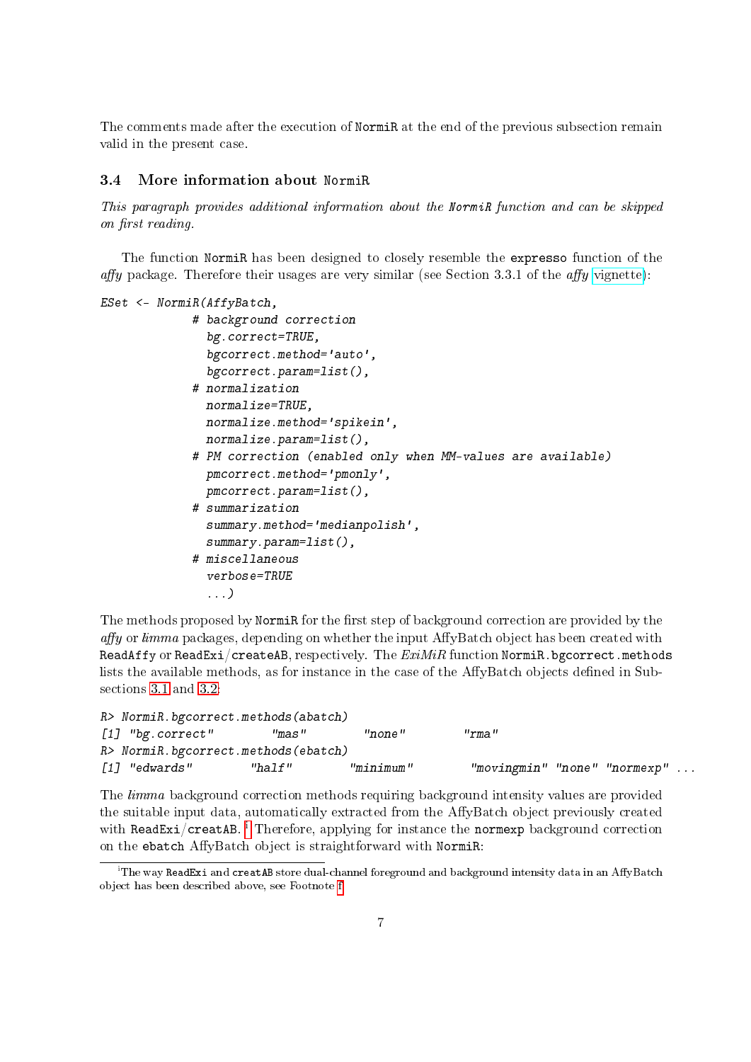The comments made after the execution of NormiR at the end of the previous subsection remain valid in the present case.

#### <span id="page-6-0"></span>3.4 More information about NormiR

This paragraph provides additional information about the NormiR function and can be skipped on first reading.

The function NormiR has been designed to closely resemble the expresso function of the affy package. Therefore their usages are very similar (see Section 3.3.1 of the affy [vignette\)](http://www.bioconductor.org/packages/release/bioc/vignettes/affy/inst/doc/affy.pdf):

```
ESet <- NormiR(AffyBatch,
             # background correction
               bg.correct=TRUE,
               bgcorrect.method='auto',
               bgcorrect.param=list(),
             # normalization
               normalize=TRUE,
               normalize.method='spikein',
               normalize.param=list(),
             # PM correction (enabled only when MM-values are available)
               pmcorrect.method='pmonly',
               pmcorrect.param=list(),
             # summarization
               summary.method='medianpolish',
               summary.param=list(),
             # miscellaneous
               verbose=TRUE
               ...)
```
The methods proposed by NormiR for the first step of background correction are provided by the  $affy$  or limma packages, depending on whether the input AffyBatch object has been created with ReadAffy or ReadExi/createAB, respectively. The  $ExiMiR$  function NormiR.bgcorrect.methods lists the available methods, as for instance in the case of the AffyBatch objects defined in Subsections [3.1](#page-3-0) and [3.2:](#page-4-0)

```
R> NormiR.bgcorrect.methods(abatch)
[1] "bg.correct" "mas" "none" "rma"
R> NormiR.bgcorrect.methods(ebatch)
[1] "edwards" "half" "minimum" "movingmin" "none" "normexp" ...
```
The *limma* background correction methods requiring background intensity values are provided the suitable input data, automatically extracted from the AffyBatch object previously created w[i](#page-6-1)th ReadExi/creatAB. <sup>i</sup> Therefore, applying for instance the normexp background correction on the ebatch AffyBatch object is straightforward with NormiR:

<span id="page-6-1"></span> $\rm ^i$ The way ReadExi and creatAB store dual-channel foreground and background intensity data in an AffyBatch object has been described above, see Footnote [f.](#page-4-1)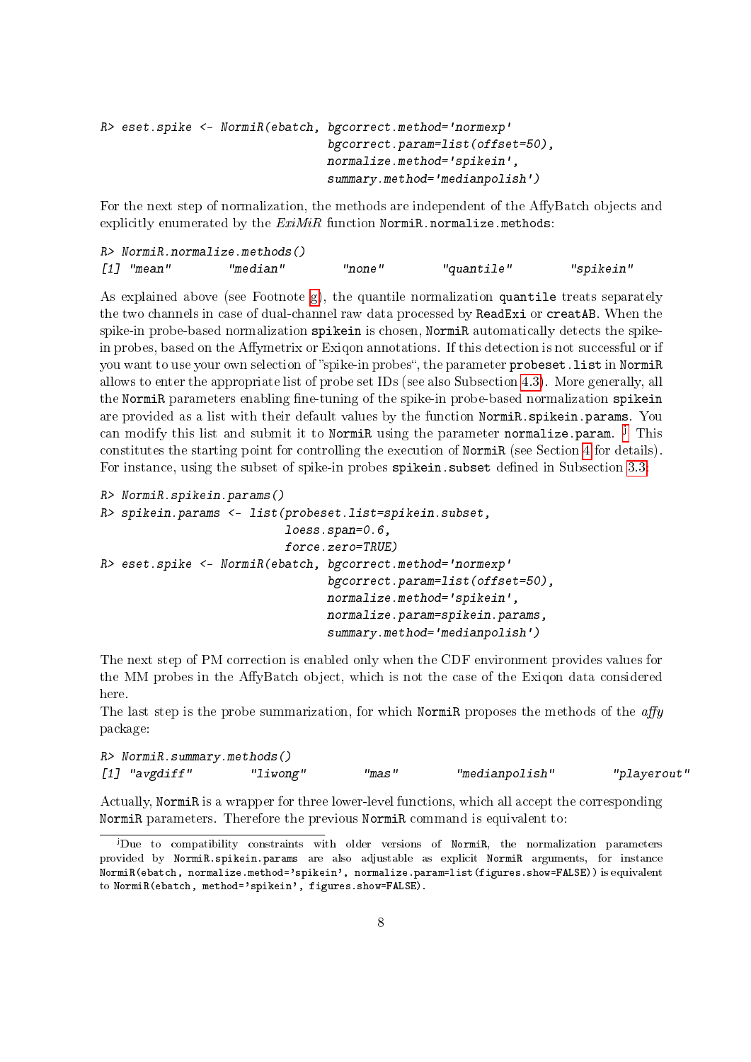```
R> eset.spike <- NormiR(ebatch, bgcorrect.method='normexp'
                                bgcorrect.param=list(offset=50),
                                normalize.method='spikein',
                                summary.method='medianpolish')
```
For the next step of normalization, the methods are independent of the AffyBatch objects and explicitly enumerated by the  $ExiMiR$  function NormiR.normalize.methods:

| $R$ > Normi $R$ .normalize.methods() |          |        |            |           |
|--------------------------------------|----------|--------|------------|-----------|
| /17 "mean"                           | "median" | "none" | "quantile" | "spikein" |

As explained above (see Footnote [g\)](#page-4-2), the quantile normalization quantile treats separately the two channels in case of dual-channel raw data processed by ReadExi or creatAB. When the spike-in probe-based normalization spikein is chosen, NormiR automatically detects the spikein probes, based on the Affymetrix or Exigon annotations. If this detection is not successful or if you want to use your own selection of "spike-in probes", the parameter probeset. list in NormiR allows to enter the appropriate list of probe set IDs (see also Subsection [4.3\)](#page-12-0). More generally, all the NormiR parameters enabling fine-tuning of the spike-in probe-based normalization spikein are provided as a list with their default values by the function NormiR.spikein.params. You can modify this list and submit it to N**ormiR** using the parameter **normalize.param**. <sup>[j](#page-7-0)</sup> This constitutes the starting point for controlling the execution of NormiR (see Section [4](#page-8-0) for details). For instance, using the subset of spike-in probes spikein. subset defined in Subsection [3.3:](#page-5-0)

```
R> NormiR.spikein.params()
R> spikein.params <- list(probeset.list=spikein.subset,
                          loess.span=0.6,
                           force.zero=TRUE)
R> eset.spike <- NormiR(ebatch, bgcorrect.method='normexp'
                                bgcorrect.param=list(offset=50),
                                normalize.method='spikein',
                                normalize.param=spikein.params,
                                 summary.method='medianpolish')
```
The next step of PM correction is enabled only when the CDF environment provides values for the MM probes in the AffyBatch object, which is not the case of the Exigon data considered here.

The last step is the probe summarization, for which NormiR proposes the methods of the  $affy$ package:

```
R> NormiR.summary.methods()
[1] "avgdiff" "liwong" "mas" "medianpolish" "playerout"
```
Actually, NormiR is a wrapper for three lower-level functions, which all accept the corresponding NormiR parameters. Therefore the previous NormiR command is equivalent to:

<span id="page-7-0"></span><sup>j</sup>Due to compatibility constraints with older versions of NormiR, the normalization parameters provided by NormiR.spikein.params are also adjustable as explicit NormiR arguments, for instance NormiR(ebatch, normalize.method='spikein', normalize.param=list(figures.show=FALSE)) is equivalent to NormiR(ebatch, method='spikein', figures.show=FALSE).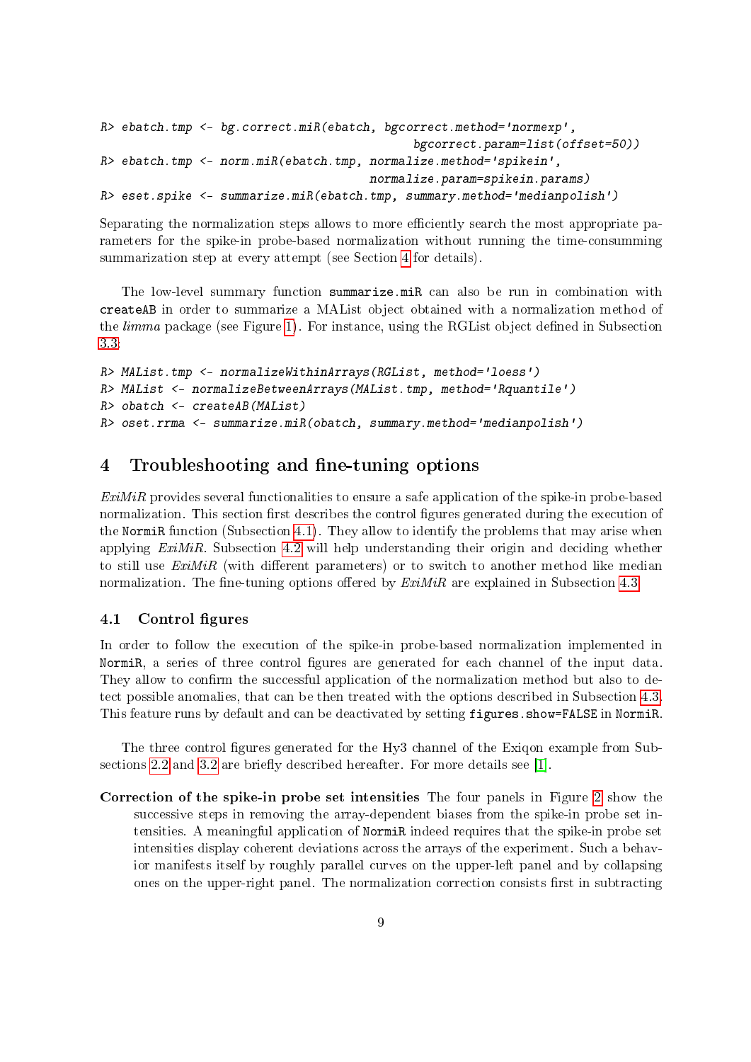```
R> ebatch.tmp <- bg.correct.miR(ebatch, bgcorrect.method='normexp',
                                            bgcorrect.param=list(offset=50))
R> ebatch.tmp <- norm.miR(ebatch.tmp, normalize.method='spikein',
                                      normalize.param=spikein.params)
R> eset.spike <- summarize.miR(ebatch.tmp, summary.method='medianpolish')
```
Separating the normalization steps allows to more efficiently search the most appropriate parameters for the spike-in probe-based normalization without running the time-consumming summarization step at every attempt (see Section [4](#page-8-0) for details).

The low-level summary function summarize.miR can also be run in combination with createAB in order to summarize a MAList object obtained with a normalization method of the *limma* package (see Figure [1\)](#page-1-0). For instance, using the RGL is object defined in Subsection [3.3:](#page-5-0)

```
R> MAList.tmp <- normalizeWithinArrays(RGList, method='loess')
R> MAList <- normalizeBetweenArrays(MAList.tmp, method='Rquantile')
R> obatch <- createAB(MAList)
R> oset.rrma <- summarize.miR(obatch, summary.method='medianpolish')
```
# <span id="page-8-0"></span>4 Troubleshooting and fine-tuning options

 $ExiMiR$  provides several functionalities to ensure a safe application of the spike-in probe-based normalization. This section first describes the control figures generated during the execution of the NormiR function (Subsection [4.1\)](#page-8-1). They allow to identify the problems that may arise when applying  $ExiMiR$ . Subsection [4.2](#page-10-0) will help understanding their origin and deciding whether to still use  $ExiMiR$  (with different parameters) or to switch to another method like median normalization. The fine-tuning options offered by  $ExiMiR$  are explained in Subsection [4.3.](#page-12-0)

#### <span id="page-8-1"></span>4.1 Control figures

In order to follow the execution of the spike-in probe-based normalization implemented in NormiR, a series of three control figures are generated for each channel of the input data. They allow to confirm the successful application of the normalization method but also to detect possible anomalies, that can be then treated with the options described in Subsection [4.3.](#page-12-0) This feature runs by default and can be deactivated by setting figures.show=FALSE in NormiR.

The three control figures generated for the Hy3 channel of the Exiqon example from Sub-sections [2.2](#page-2-2) and [3.2](#page-4-0) are briefly described hereafter. For more details see [\[1\]](#page-16-0).

Correction of the spike-in probe set intensities The four panels in Figure [2](#page-9-0) show the successive steps in removing the array-dependent biases from the spike-in probe set intensities. A meaningful application of NormiR indeed requires that the spike-in probe set intensities display coherent deviations across the arrays of the experiment. Such a behavior manifests itself by roughly parallel curves on the upper-left panel and by collapsing ones on the upper-right panel. The normalization correction consists first in subtracting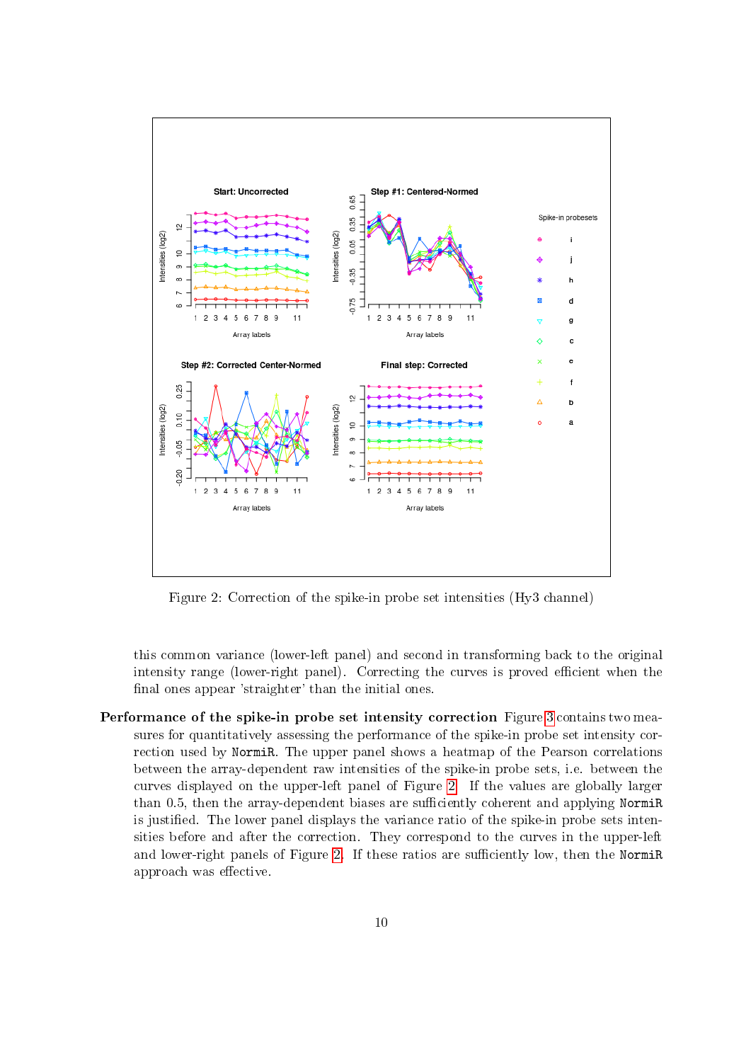

<span id="page-9-0"></span>Figure 2: Correction of the spike-in probe set intensities (Hy3 channel)

this common variance (lower-left panel) and second in transforming back to the original intensity range (lower-right panel). Correcting the curves is proved efficient when the final ones appear 'straighter' than the initial ones.

Performance of the spike-in probe set intensity correction Figure [3](#page-10-1) contains two measures for quantitatively assessing the performance of the spike-in probe set intensity correction used by NormiR. The upper panel shows a heatmap of the Pearson correlations between the array-dependent raw intensities of the spike-in probe sets, i.e. between the curves displayed on the upper-left panel of Figure [2.](#page-9-0) If the values are globally larger than 0.5, then the array-dependent biases are sufficiently coherent and applying NormiR is justified. The lower panel displays the variance ratio of the spike-in probe sets intensities before and after the correction. They correspond to the curves in the upper-left and lower-right panels of Figure [2.](#page-9-0) If these ratios are sufficiently low, then the NormiR approach was effective.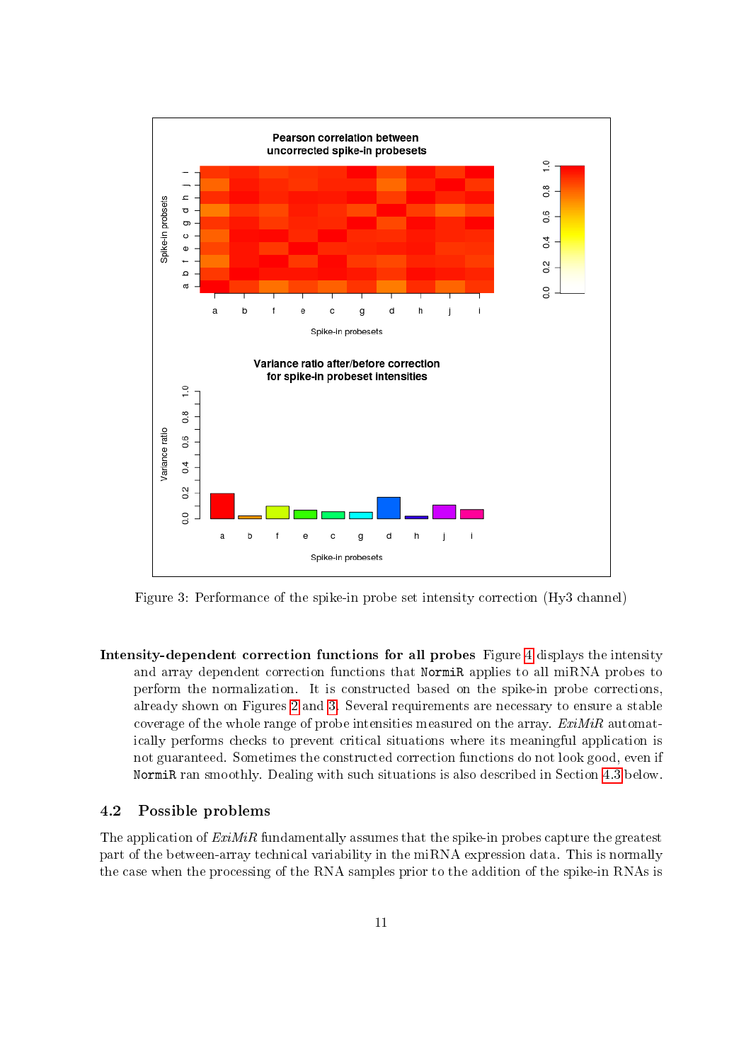

<span id="page-10-1"></span>Figure 3: Performance of the spike-in probe set intensity correction (Hy3 channel)

Intensity-dependent correction functions for all probes Figure [4](#page-11-0) displays the intensity and array dependent correction functions that NormiR applies to all miRNA probes to perform the normalization. It is constructed based on the spike-in probe corrections, already shown on Figures [2](#page-9-0) and [3.](#page-10-1) Several requirements are necessary to ensure a stable coverage of the whole range of probe intensities measured on the array.  $ExiMiR$  automatically performs checks to prevent critical situations where its meaningful application is not guaranteed. Sometimes the constructed correction functions do not look good, even if NormiR ran smoothly. Dealing with such situations is also described in Section [4.3](#page-12-0) below.

#### <span id="page-10-0"></span>4.2 Possible problems

The application of  $ExiMiR$  fundamentally assumes that the spike-in probes capture the greatest part of the between-array technical variability in the miRNA expression data. This is normally the case when the processing of the RNA samples prior to the addition of the spike-in RNAs is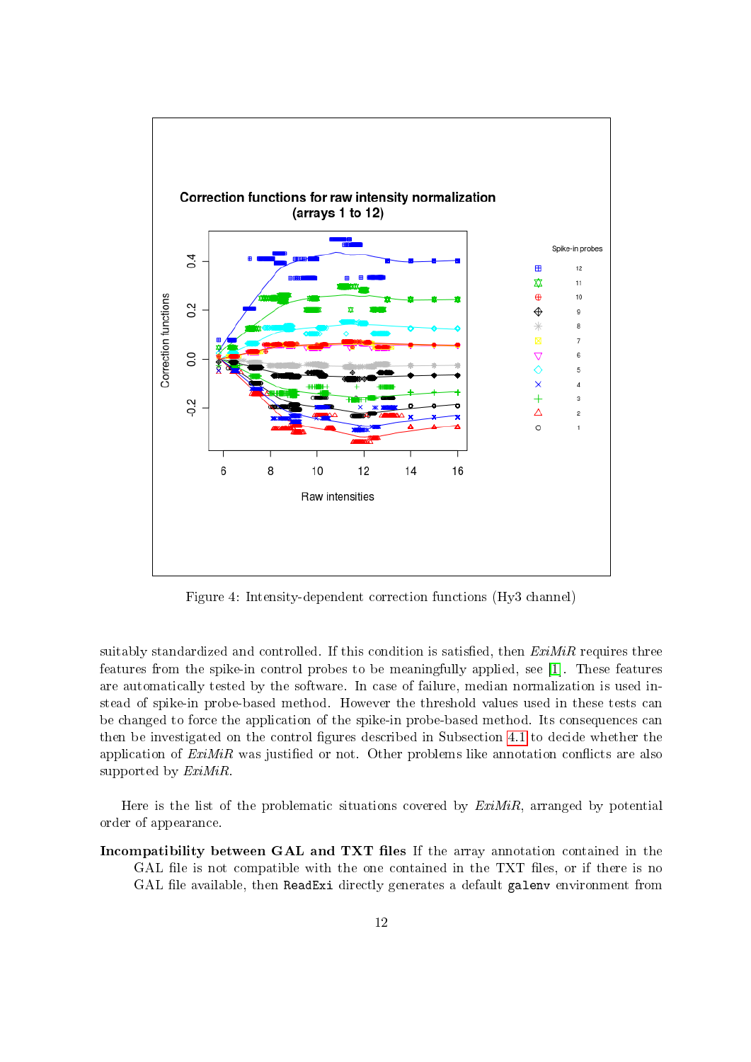

<span id="page-11-0"></span>Figure 4: Intensity-dependent correction functions (Hy3 channel)

suitably standardized and controlled. If this condition is satisfied, then  $ExiMiR$  requires three features from the spike-in control probes to be meaningfully applied, see [\[1\]](#page-16-0). These features are automatically tested by the software. In case of failure, median normalization is used instead of spike-in probe-based method. However the threshold values used in these tests can be changed to force the application of the spike-in probe-based method. Its consequences can then be investigated on the control figures described in Subsection  $4.1$  to decide whether the application of  $ExiMiR$  was justified or not. Other problems like annotation conflicts are also supported by  $ExiMiR$ .

Here is the list of the problematic situations covered by  $ExiMiR$ , arranged by potential order of appearance.

Incompatibility between GAL and TXT files If the array annotation contained in the GAL file is not compatible with the one contained in the TXT files, or if there is no GAL file available, then ReadExi directly generates a default galenv environment from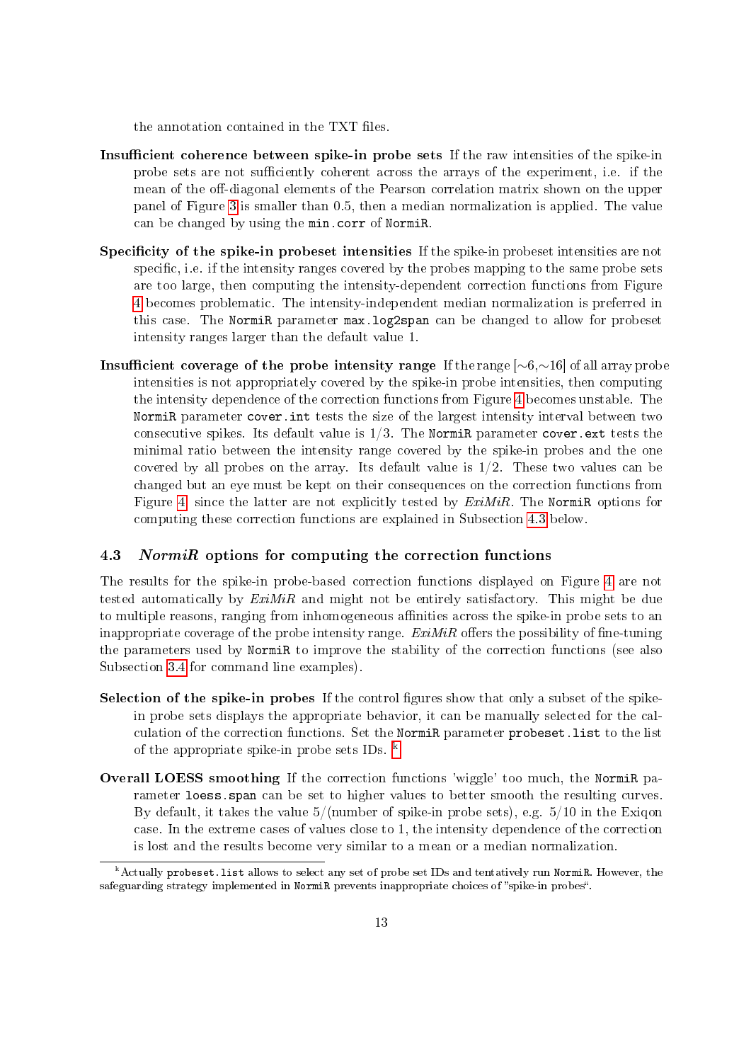the annotation contained in the TXT files.

- Insufficient coherence between spike-in probe sets If the raw intensities of the spike-in probe sets are not sufficiently coherent across the arrays of the experiment, i.e. if the mean of the off-diagonal elements of the Pearson correlation matrix shown on the upper panel of Figure [3](#page-10-1) is smaller than 0.5, then a median normalization is applied. The value can be changed by using the min.corr of NormiR.
- Specificity of the spike-in probeset intensities If the spike-in probeset intensities are not specific, i.e. if the intensity ranges covered by the probes mapping to the same probe sets are too large, then computing the intensity-dependent correction functions from Figure [4](#page-11-0) becomes problematic. The intensity-independent median normalization is preferred in this case. The NormiR parameter max.log2span can be changed to allow for probeset intensity ranges larger than the default value 1.
- Insufficient coverage of the probe intensity range If the range  $[~6,~16]$  of all array probe intensities is not appropriately covered by the spike-in probe intensities, then computing the intensity dependence of the correction functions from Figure [4](#page-11-0) becomes unstable. The NormiR parameter cover.int tests the size of the largest intensity interval between two consecutive spikes. Its default value is  $1/3$ . The NormiR parameter cover.ext tests the minimal ratio between the intensity range covered by the spike-in probes and the one covered by all probes on the array. Its default value is 1/2. These two values can be changed but an eye must be kept on their consequences on the correction functions from Figure [4,](#page-11-0) since the latter are not explicitly tested by  $ExiMiR$ . The NormiR options for computing these correction functions are explained in Subsection [4.3](#page-12-0) below.

#### <span id="page-12-0"></span>4.3 NormiR options for computing the correction functions

The results for the spike-in probe-based correction functions displayed on Figure [4](#page-11-0) are not tested automatically by  $ExiMiR$  and might not be entirely satisfactory. This might be due to multiple reasons, ranging from inhomogeneous affinities across the spike-in probe sets to an inappropriate coverage of the probe intensity range.  $ExiMiR$  offers the possibility of fine-tuning the parameters used by NormiR to improve the stability of the correction functions (see also Subsection [3.4](#page-6-0) for command line examples).

- Selection of the spike-in probes If the control figures show that only a subset of the spikein probe sets displays the appropriate behavior, it can be manually selected for the calculation of the correction functions. Set the NormiR parameter probeset.list to the list of the appropriate spike-in probe sets IDs. [k](#page-12-1)
- Overall LOESS smoothing If the correction functions 'wiggle' too much, the NormiR parameter loess.span can be set to higher values to better smooth the resulting curves. By default, it takes the value  $5/(number of spike-in probe sets)$ , e.g.  $5/10$  in the Exigon case. In the extreme cases of values close to 1, the intensity dependence of the correction is lost and the results become very similar to a mean or a median normalization.

<span id="page-12-1"></span>k Actually probeset.list allows to select any set of probe set IDs and tentatively run NormiR. However, the safeguarding strategy implemented in NormiR prevents inappropriate choices of "spike-in probes".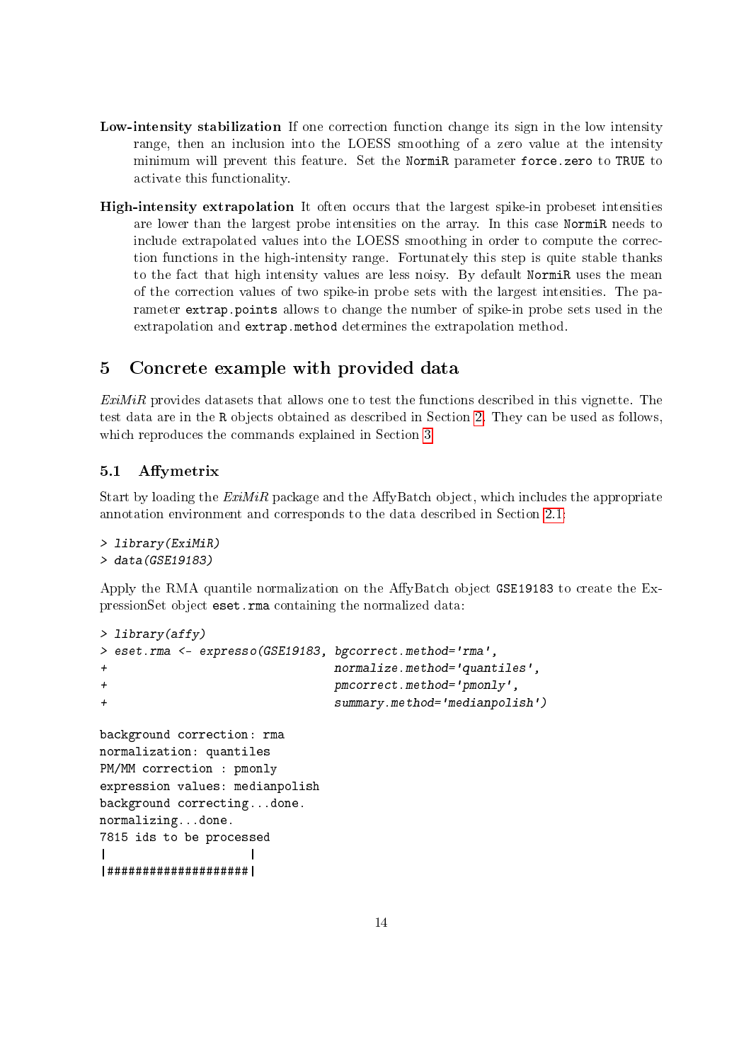- Low-intensity stabilization If one correction function change its sign in the low intensity range, then an inclusion into the LOESS smoothing of a zero value at the intensity minimum will prevent this feature. Set the NormiR parameter force.zero to TRUE to activate this functionality.
- High-intensity extrapolation It often occurs that the largest spike-in probeset intensities are lower than the largest probe intensities on the array. In this case NormiR needs to include extrapolated values into the LOESS smoothing in order to compute the correction functions in the high-intensity range. Fortunately this step is quite stable thanks to the fact that high intensity values are less noisy. By default NormiR uses the mean of the correction values of two spike-in probe sets with the largest intensities. The parameter extrap.points allows to change the number of spike-in probe sets used in the extrapolation and extrap.method determines the extrapolation method.

# <span id="page-13-0"></span>5 Concrete example with provided data

ExiMiR provides datasets that allows one to test the functions described in this vignette. The test data are in the R objects obtained as described in Section [2.](#page-2-0) They can be used as follows, which reproduces the commands explained in Section [3.](#page-2-3)

### <span id="page-13-1"></span>5.1 Affymetrix

Start by loading the  $ExiMiR$  package and the AffyBatch object, which includes the appropriate annotation environment and corresponds to the data described in Section [2.1:](#page-2-1)

```
> library(ExiMiR)
> data(GSE19183)
```
Apply the RMA quantile normalization on the AffyBatch object GSE19183 to create the ExpressionSet object eset.rma containing the normalized data:

```
> library(affy)
> eset.rma <- expresso(GSE19183, bgcorrect.method='rma',
+ normalize.method='quantiles',
+ pmcorrect.method='pmonly',
+ summary.method='medianpolish')
background correction: rma
normalization: quantiles
PM/MM correction : pmonly
expression values: medianpolish
background correcting...done.
normalizing...done.
7815 ids to be processed
| |
|####################|
```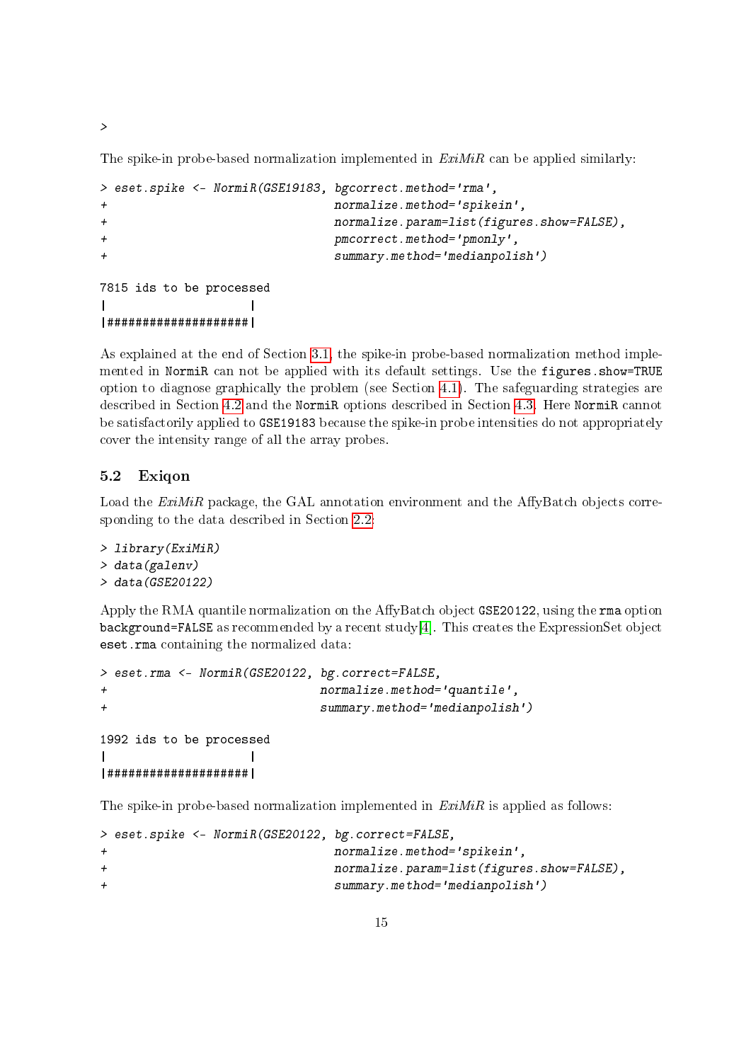The spike-in probe-based normalization implemented in  $ExiMiR$  can be applied similarly:

```
> eset.spike <- NormiR(GSE19183, bgcorrect.method='rma',
+ normalize.method='spikein',
+ normalize.param=list(figures.show=FALSE),
+ pmcorrect.method='pmonly',
+ summary.method='medianpolish')
7815 ids to be processed
| |
|####################|
```
As explained at the end of Section [3.1,](#page-3-0) the spike-in probe-based normalization method implemented in NormiR can not be applied with its default settings. Use the figures.show=TRUE option to diagnose graphically the problem (see Section [4.1\)](#page-8-1). The safeguarding strategies are described in Section [4.2](#page-10-0) and the NormiR options described in Section [4.3.](#page-12-0) Here NormiR cannot be satisfactorily applied to GSE19183 because the spike-in probe intensities do not appropriately cover the intensity range of all the array probes.

### <span id="page-14-0"></span>5.2 Exiqon

Load the  $ExiMiR$  package, the GAL annotation environment and the AffyBatch objects corresponding to the data described in Section [2.2:](#page-2-2)

```
> library(ExiMiR)
> data(galenv)
> data(GSE20122)
```
Apply the RMA quantile normalization on the AffyBatch object GSE20122, using the rma option background=FALSE as recommended by a recent study[\[4\]](#page-16-3). This creates the ExpressionSet object eset.rma containing the normalized data:

```
> eset.rma <- NormiR(GSE20122, bg.correct=FALSE,
+ normalize.method='quantile',
+ summary.method='medianpolish')
1992 ids to be processed
| |
|####################|
```
The spike-in probe-based normalization implemented in  $ExiMiR$  is applied as follows:

```
> eset.spike <- NormiR(GSE20122, bg.correct=FALSE,
+ normalize.method='spikein',
+ normalize.param=list(figures.show=FALSE),
+ summary.method='medianpolish')
```
>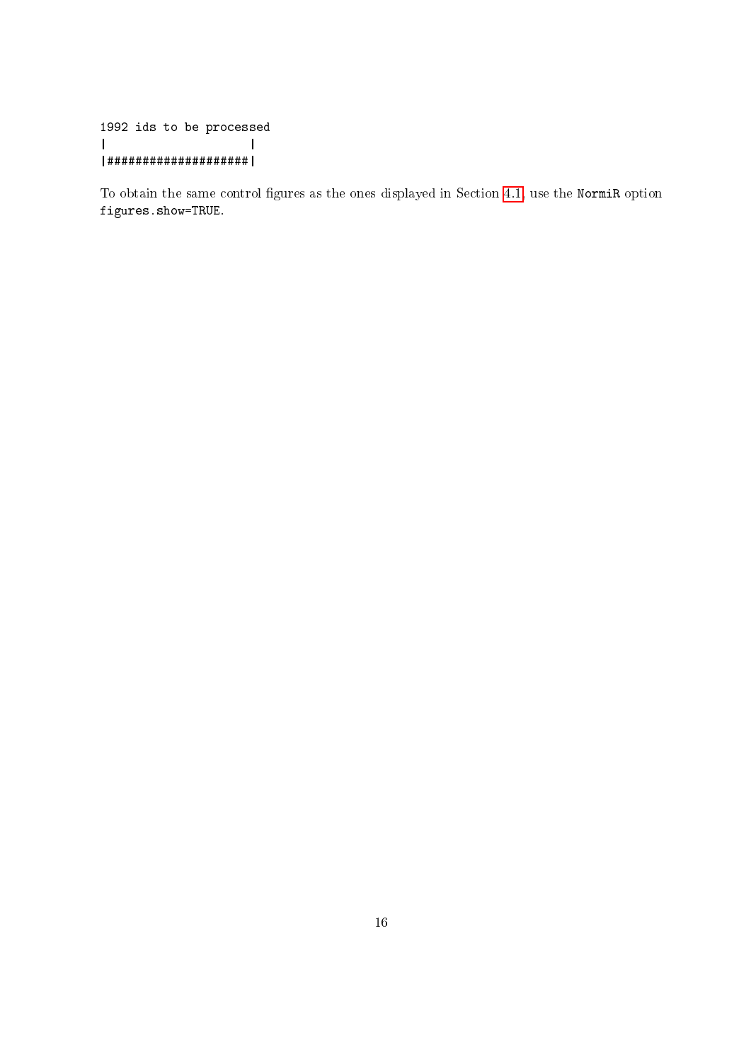1992 ids to be processed | | |####################|

To obtain the same control figures as the ones displayed in Section [4.1,](#page-8-1) use the NormiR option figures.show=TRUE.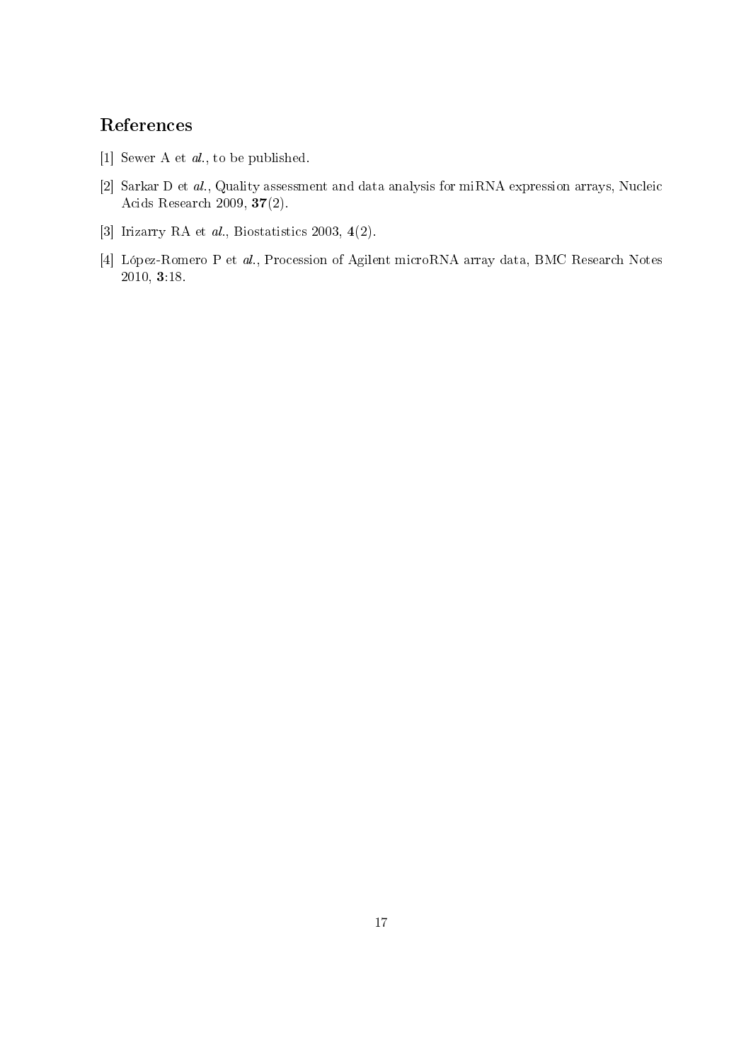# References

- <span id="page-16-0"></span>[1] Sewer A et al., to be published.
- <span id="page-16-1"></span>[2] Sarkar D et al., Quality assessment and data analysis for miRNA expression arrays, Nucleic Acids Research 2009, 37(2).
- <span id="page-16-2"></span>[3] Irizarry RA et al., Biostatistics 2003, 4(2).
- <span id="page-16-3"></span>[4] López-Romero P et al., Procession of Agilent microRNA array data, BMC Research Notes 2010, 3:18.